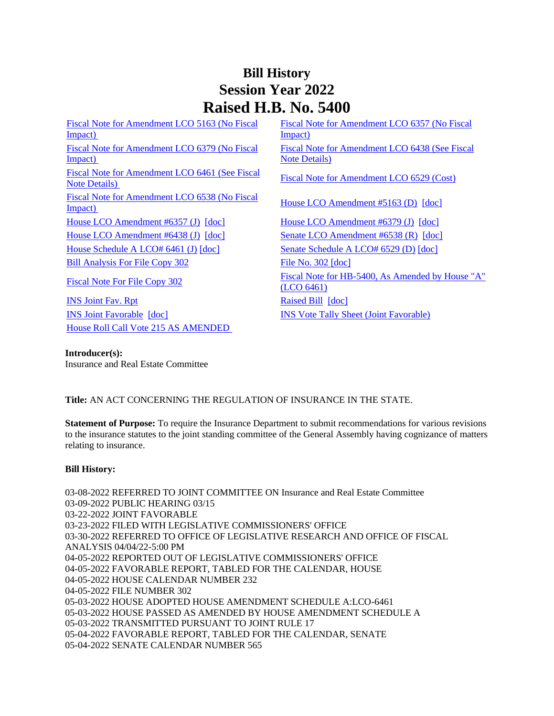# **Bill History Session Year 2022 Raised H.B. No. 5400**

[Fiscal Note for Amendment LCO 5163 \(No Fiscal](/2022/fna/pdf/2022HB-05400-R00LCO05163-FNA.PDF)  Impact) [Fiscal Note for Amendment LCO 6379 \(No Fiscal](/2022/fna/pdf/2022HB-05400-R00LCO06379-FNA.PDF)  [Impact\)](/2022/fna/pdf/2022HB-05400-R00LCO06379-FNA.PDF)  [Fiscal Note for Amendment LCO 6461 \(See Fiscal](/2022/fna/pdf/2022HB-05400-R00LCO06461-FNA.pdf)  Fiscal Note For American Fiscal Note for Amendment LCO 6529 (Cost)<br>Note Details) [Fiscal Note for Amendment LCO 6538 \(No Fiscal](/2022/fna/pdf/2022HB-05400-R00LCO06538-FNA.PDF)  <u>House LCO Amendment #5163 (D)</u> [\[doc\]](https://search.cga.state.ct.us/dl2022/aml/doc/2022LCO05163-R00-AMD.DOCX)<br>Impact) [House LCO Amendment #6357 \(J\)](/2022/lcoamd/pdf/2022LCO06357-R00-AMD.pdf) [\[doc\]](https://search.cga.state.ct.us/dl2022/aml/doc/2022LCO06379-R00-AMD.DOCX) [House LCO Amendment #6379 \(J\)](/2022/lcoamd/pdf/2022LCO06379-R00-AMD.pdf) [doc] [House LCO Amendment #6438 \(J\)](/2022/lcoamd/pdf/2022LCO06438-R00-AMD.pdf) [\[doc\]](https://search.cga.state.ct.us/dl2022/aml/doc/2022LCO06438-R00-AMD.DOCX) [Senate LCO Amendment #6538 \(R\)](/2022/lcoamd/pdf/2022LCO06538-R00-AMD.pdf) [\[doc\]](https://search.cga.state.ct.us/dl2022/aml/doc/2022LCO06538-R00-AMD.DOCX) [House Schedule A LCO# 6461 \(J\)](/2022/amd/H/pdf/2022HB-05400-R00HA-AMD.pdf) [\[doc\]](https://search.cga.state.ct.us/dl2022/AMd/DOC/2022HB-05400-R00SA-AMD.Docx) [Senate Schedule A LCO# 6529 \(D\)](/2022/amd/H/pdf/2022HB-05400-R00SA-AMD.pdf) [doc] [Bill Analysis For File Copy 302](/2022/BA/PDF/2022HB-05400-R000302-BA.PDF) [File No. 302](/2022/FC/PDF/2022HB-05400-R000302-FC.PDF) [\[doc\]](https://search.cga.state.ct.us/dl2022/fc/doc/2022HB-05400-R000302-FC.docx)

**[INS Joint Fav. Rpt](/2022/JFR/H/PDF/2022HB-05400-R00INS-JFR.PDF)** [Raised Bill](/2022/TOB/H/PDF/2022HB-05400-R00-HB.PDF) [\[doc\]](https://search.cga.state.ct.us/dl2022/TOB/DOC/2022HB-05400-R00-HB.DOCX) [INS Joint Favorable](/2022/TOB/H/PDF/2022HB-05400-R01-HB.PDF) [\[doc\]](https://search.cga.state.ct.us/dl2022/TOB/DOC/2022HB-05400-R01-HB.DOCX) [INS Vote Tally Sheet \(Joint Favorable\)](/2022/TS/H/PDF/2022HB-05400-R00INS-CV39-TS.PDF) [House Roll Call Vote 215 AS AMENDED](/2022/VOTE/H/PDF/2022HV-00215-R00HB05400-HV.PDF) 

[Fiscal Note for Amendment LCO 6357 \(No Fiscal](/2022/fna/pdf/2022HB-05400-R00LCO06357-FNA.pdf)  [Impact\)](/2022/fna/pdf/2022HB-05400-R00LCO06357-FNA.pdf)  [Fiscal Note for Amendment LCO 6438 \(See Fiscal](/2022/fna/pdf/2022HB-05400-R00LCO06438-FNA.PDF)  [Note Details\)](/2022/fna/pdf/2022HB-05400-R00LCO06438-FNA.PDF)  [Fiscal Note For File Copy 302](/2022/FN/PDF/2022HB-05400-R000302-FN.PDF) Fiscal Note for HB-5400, As Amended by House "A" [\(LCO 6461\)](/2022/FN/PDF/2022HB-05400-R01-FN.PDF)

#### **Introducer(s):**

Insurance and Real Estate Committee

# **Title:** AN ACT CONCERNING THE REGULATION OF INSURANCE IN THE STATE.

**Statement of Purpose:** To require the Insurance Department to submit recommendations for various revisions to the insurance statutes to the joint standing committee of the General Assembly having cognizance of matters relating to insurance.

#### **Bill History:**

03-08-2022 REFERRED TO JOINT COMMITTEE ON Insurance and Real Estate Committee 03-09-2022 PUBLIC HEARING 03/15 03-22-2022 JOINT FAVORABLE 03-23-2022 FILED WITH LEGISLATIVE COMMISSIONERS' OFFICE 03-30-2022 REFERRED TO OFFICE OF LEGISLATIVE RESEARCH AND OFFICE OF FISCAL ANALYSIS 04/04/22-5:00 PM 04-05-2022 REPORTED OUT OF LEGISLATIVE COMMISSIONERS' OFFICE 04-05-2022 FAVORABLE REPORT, TABLED FOR THE CALENDAR, HOUSE 04-05-2022 HOUSE CALENDAR NUMBER 232 04-05-2022 FILE NUMBER 302 05-03-2022 HOUSE ADOPTED HOUSE AMENDMENT SCHEDULE A:LCO-6461 05-03-2022 HOUSE PASSED AS AMENDED BY HOUSE AMENDMENT SCHEDULE A 05-03-2022 TRANSMITTED PURSUANT TO JOINT RULE 17 05-04-2022 FAVORABLE REPORT, TABLED FOR THE CALENDAR, SENATE 05-04-2022 SENATE CALENDAR NUMBER 565